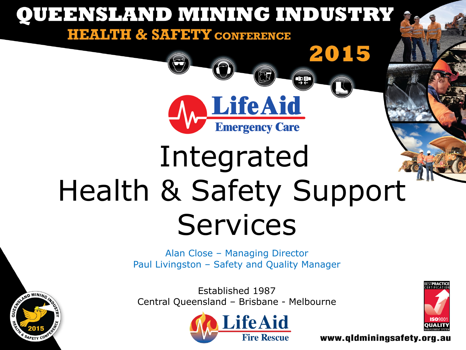

SAFETY C

Established 1987 Central Queensland – Brisbane - Melbourne





www.gldminingsafety.org.au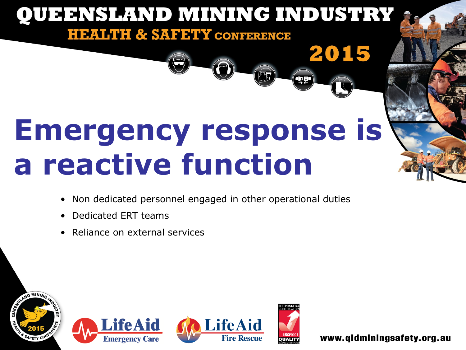# **Emergency response is a reactive function**

**QUEENSLAND MINING INDUSTRY** 

**HEALTH & SAFETY CONFERENCE** 

- Non dedicated personnel engaged in other operational duties
- Dedicated ERT teams
- Reliance on external services









2015

**Qg**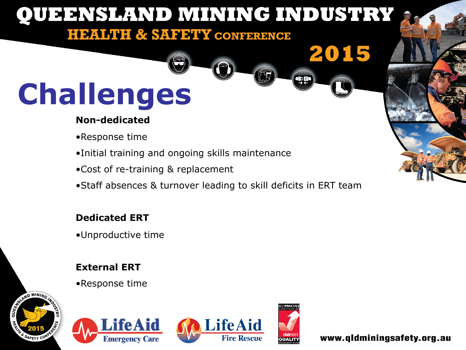### **QUEENSLAND MINING INDUSTRY**

#### **HEALTH & SAFETY CONFERENCE**

## **Challenges**

#### **Non-dedicated**

- •Response time
- •Initial training and ongoing skills maintenance
- •Cost of re-training & replacement
- •Staff absences & turnover leading to skill deficits in ERT team

#### **Dedicated ERT**

•Unproductive time

#### **External ERT**

•Response time









2015

qqa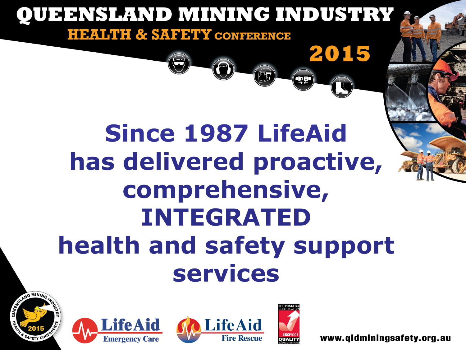







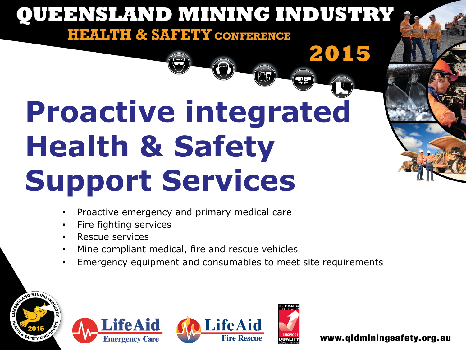## 99 **Proactive integrated Health & Safety Support Services**

**HEALTH & SAFETY CONFERENCE** 

**QUEENSLAND MINING INDUSTRY** 

- Proactive emergency and primary medical care
- Fire fighting services
- Rescue services
- Mine compliant medical, fire and rescue vehicles
- Emergency equipment and consumables to meet site requirements









2015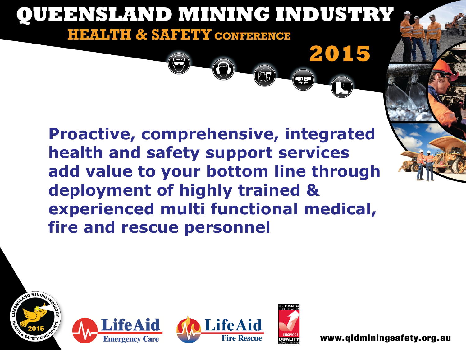

**Proactive, comprehensive, integrated health and safety support services add value to your bottom line through deployment of highly trained & experienced multi functional medical, fire and rescue personnel** 







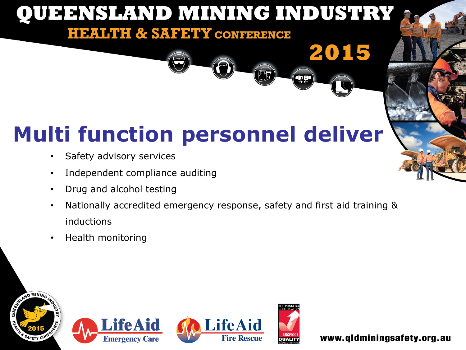#### QUEENSLAND MINING INDUSTRY **HEALTH & SAFETY CONFERENCE** 2015 QQ

### **Multi function personnel deliver**

- Safety advisory services
- Independent compliance auditing
- Drug and alcohol testing
- Nationally accredited emergency response, safety and first aid training & inductions
- Health monitoring







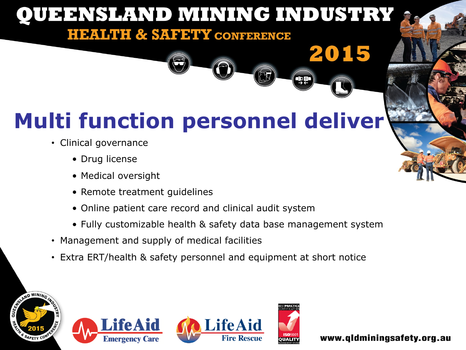### **QUEENSLAND MINING INDUSTRY**

#### **HEALTH & SAFETY CONFERENCE**

### **Multi function personnel deliver**

- Clinical governance
	- Drug license
	- Medical oversight
	- Remote treatment guidelines
	- Online patient care record and clinical audit system
	- Fully customizable health & safety data base management system
- Management and supply of medical facilities
- Extra ERT/health & safety personnel and equipment at short notice









2015

او برا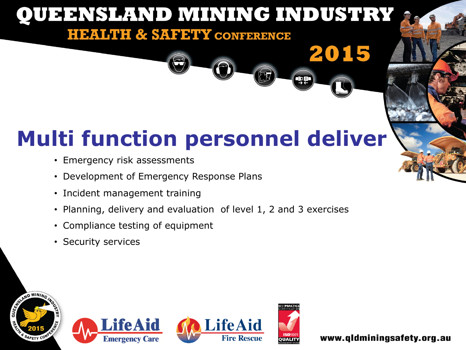#### QUEENSLAND MINING INDUSTRY **HEALTH & SAFETY CONFERENCE**

### **Multi function personnel deliver**

- Emergency risk assessments
- Development of Emergency Response Plans
- Incident management training
- Planning, delivery and evaluation of level 1, 2 and 3 exercises
- Compliance testing of equipment
- Security services









2015

**Que**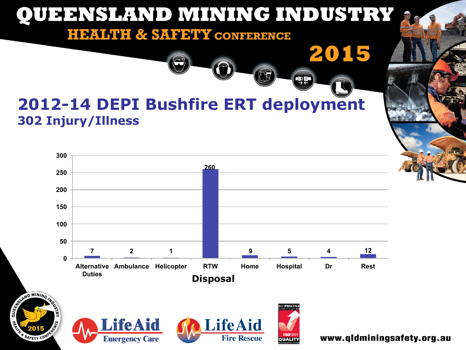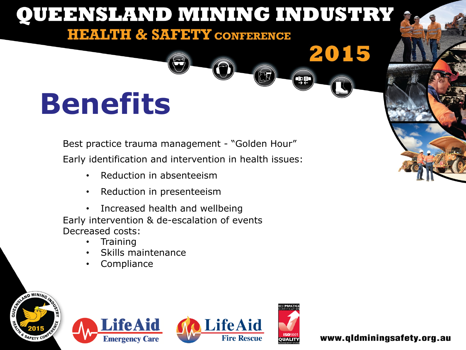### **QUEENSLAND MINING INDUSTRY HEALTH & SAFETY CONFERENCE** 2015 que **Benefits**

Best practice trauma management - "Golden Hour" Early identification and intervention in health issues:

- Reduction in absenteeism
- Reduction in presenteeism

• Increased health and wellbeing Early intervention & de-escalation of events Decreased costs:

- **Training**
- Skills maintenance
- **Compliance**